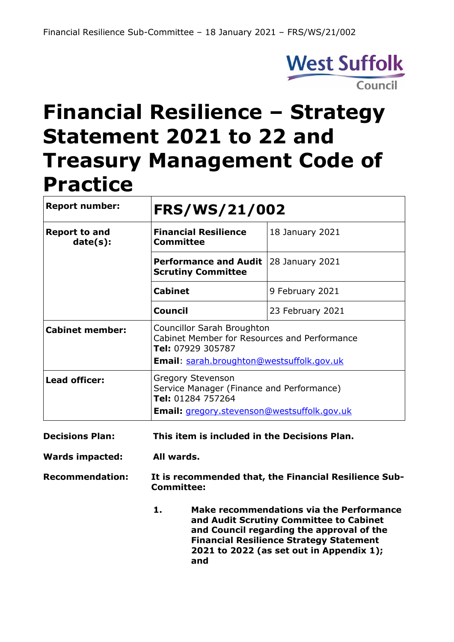

# **Financial Resilience – Strategy Statement 2021 to 22 and Treasury Management Code of Practice**

| <b>Report number:</b>            | FRS/WS/21/002                                                                                                                                       |                  |  |
|----------------------------------|-----------------------------------------------------------------------------------------------------------------------------------------------------|------------------|--|
| <b>Report to and</b><br>date(s): | <b>Financial Resilience</b><br><b>Committee</b>                                                                                                     | 18 January 2021  |  |
|                                  | <b>Performance and Audit</b><br><b>Scrutiny Committee</b>                                                                                           | 28 January 2021  |  |
|                                  | <b>Cabinet</b>                                                                                                                                      | 9 February 2021  |  |
|                                  | <b>Council</b>                                                                                                                                      | 23 February 2021 |  |
| <b>Cabinet member:</b>           | Councillor Sarah Broughton<br>Cabinet Member for Resources and Performance<br>Tel: 07929 305787<br><b>Email:</b> sarah.broughton@westsuffolk.gov.uk |                  |  |
| <b>Lead officer:</b>             | <b>Gregory Stevenson</b><br>Service Manager (Finance and Performance)<br>Tel: 01284 757264<br><b>Email:</b> gregory.stevenson@westsuffolk.gov.uk    |                  |  |

- **Decisions Plan: This item is included in the Decisions Plan.**
- **Wards impacted: All wards.**

**Recommendation: It is recommended that, the Financial Resilience Sub-Committee:**

> **1. Make recommendations via the Performance and Audit Scrutiny Committee to Cabinet and Council regarding the approval of the Financial Resilience Strategy Statement 2021 to 2022 (as set out in Appendix 1); and**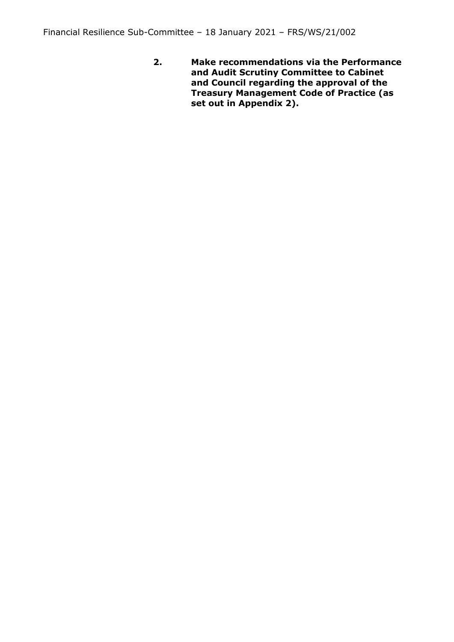**2. Make recommendations via the Performance and Audit Scrutiny Committee to Cabinet and Council regarding the approval of the Treasury Management Code of Practice (as set out in Appendix 2).**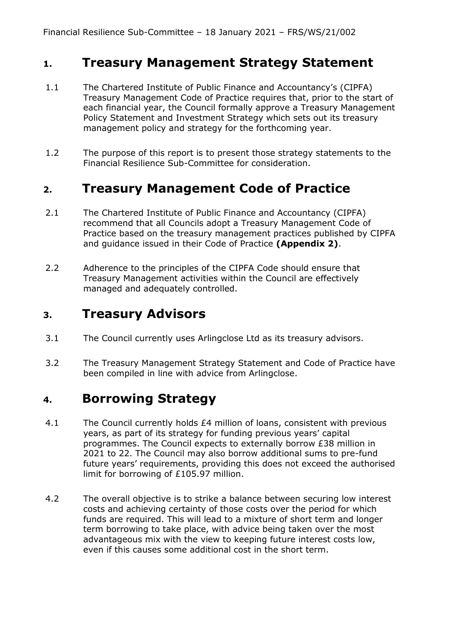#### **1. Treasury Management Strategy Statement**

- 1.1 The Chartered Institute of Public Finance and Accountancy's (CIPFA) Treasury Management Code of Practice requires that, prior to the start of each financial year, the Council formally approve a Treasury Management Policy Statement and Investment Strategy which sets out its treasury management policy and strategy for the forthcoming year.
- 1.2 The purpose of this report is to present those strategy statements to the Financial Resilience Sub-Committee for consideration.

#### **2. Treasury Management Code of Practice**

- 2.1 The Chartered Institute of Public Finance and Accountancy (CIPFA) recommend that all Councils adopt a Treasury Management Code of Practice based on the treasury management practices published by CIPFA and guidance issued in their Code of Practice **(Appendix 2)**.
- 2.2 Adherence to the principles of the CIPFA Code should ensure that Treasury Management activities within the Council are effectively managed and adequately controlled.

#### **3. Treasury Advisors**

- 3.1 The Council currently uses Arlingclose Ltd as its treasury advisors.
- 3.2 The Treasury Management Strategy Statement and Code of Practice have been compiled in line with advice from Arlingclose.

#### **4. Borrowing Strategy**

- 4.1 The Council currently holds £4 million of loans, consistent with previous years, as part of its strategy for funding previous years' capital programmes. The Council expects to externally borrow £38 million in 2021 to 22. The Council may also borrow additional sums to pre-fund future years' requirements, providing this does not exceed the authorised limit for borrowing of £105.97 million.
- 4.2 The overall objective is to strike a balance between securing low interest costs and achieving certainty of those costs over the period for which funds are required. This will lead to a mixture of short term and longer term borrowing to take place, with advice being taken over the most advantageous mix with the view to keeping future interest costs low, even if this causes some additional cost in the short term.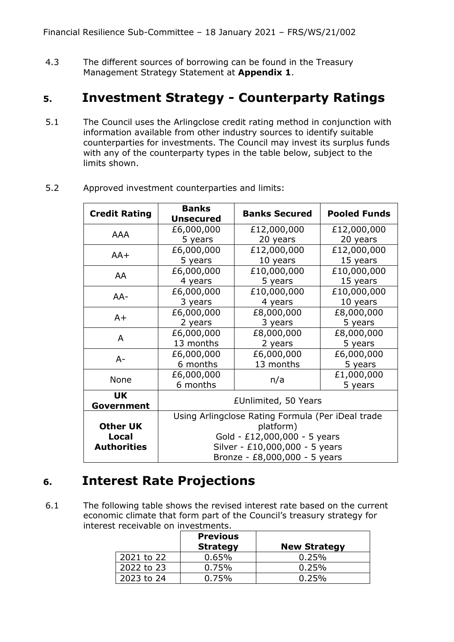4.3 The different sources of borrowing can be found in the Treasury Management Strategy Statement at **Appendix 1**.

# **5. Investment Strategy - Counterparty Ratings**

5.1 The Council uses the Arlingclose credit rating method in conjunction with information available from other industry sources to identify suitable counterparties for investments. The Council may invest its surplus funds with any of the counterparty types in the table below, subject to the limits shown.

| <b>Credit Rating</b>    | <b>Banks</b><br><b>Unsecured</b>                                                                             | <b>Banks Secured</b> | <b>Pooled Funds</b> |  |
|-------------------------|--------------------------------------------------------------------------------------------------------------|----------------------|---------------------|--|
| <b>AAA</b>              | £6,000,000                                                                                                   | £12,000,000          | £12,000,000         |  |
|                         | 5 years                                                                                                      | 20 years             | 20 years            |  |
| $AA+$                   | £6,000,000                                                                                                   | £12,000,000          | £12,000,000         |  |
|                         | 5 years                                                                                                      | 10 years             | 15 years            |  |
| AA                      | £6,000,000                                                                                                   | £10,000,000          | £10,000,000         |  |
|                         | 4 years                                                                                                      | 5 years              | 15 years            |  |
| $AA-$                   | £6,000,000                                                                                                   | £10,000,000          | £10,000,000         |  |
|                         | 3 years                                                                                                      | 4 years              | 10 years            |  |
| $A+$                    | £6,000,000                                                                                                   | £8,000,000           | £8,000,000          |  |
|                         | 2 years                                                                                                      | 3 years              | 5 years             |  |
| A                       | £6,000,000                                                                                                   | £8,000,000           | £8,000,000          |  |
|                         | 13 months                                                                                                    | 2 years              | 5 years             |  |
| $A -$                   | £6,000,000                                                                                                   | £6,000,000           | £6,000,000          |  |
|                         | 6 months                                                                                                     | 13 months            | 5 years             |  |
| None                    | £6,000,000                                                                                                   | n/a                  | £1,000,000          |  |
|                         | 6 months                                                                                                     |                      | 5 years             |  |
| <b>UK</b><br>Government | £Unlimited, 50 Years                                                                                         |                      |                     |  |
|                         | Using Arlingclose Rating Formula (Per iDeal trade                                                            |                      |                     |  |
| <b>Other UK</b>         | platform)<br>Gold - £12,000,000 - 5 years<br>Silver - £10,000,000 - 5 years<br>Bronze - £8,000,000 - 5 years |                      |                     |  |
| Local                   |                                                                                                              |                      |                     |  |
| <b>Authorities</b>      |                                                                                                              |                      |                     |  |
|                         |                                                                                                              |                      |                     |  |

5.2 Approved investment counterparties and limits:

# **6. Interest Rate Projections**

6.1 The following table shows the revised interest rate based on the current economic climate that form part of the Council's treasury strategy for interest receivable on investments.

|            | <b>Previous</b><br><b>Strategy</b> | <b>New Strategy</b> |
|------------|------------------------------------|---------------------|
| 2021 to 22 | $0.65\%$                           | 0.25%               |
| 2022 to 23 | 0.75%                              | 0.25%               |
| 2023 to 24 | 0.75%                              | 0.25%               |